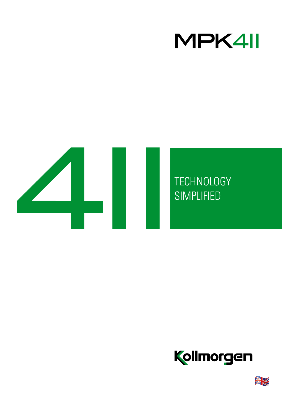



## **TECHNOLOGY** SIMPLIFIED



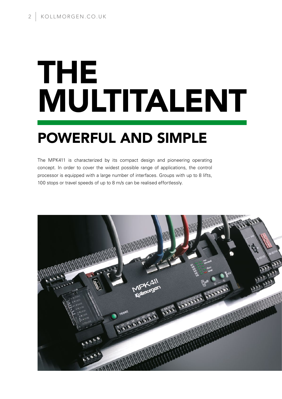## THE MULTITALENT POWERFUL AND SIMPLE

The MPK411 is characterized by its compact design and pioneering operating concept. In order to cover the widest possible range of applications, the control processor is equipped with a large number of interfaces. Groups with up to 8 lifts, 100 stops or travel speeds of up to 8 m/s can be realised effortlessly.

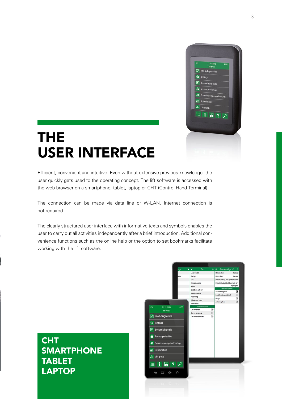

## THE USER INTERFACE

Efficient, convenient and intuitive. Even without extensive previous knowledge, the user quickly gets used to the operating concept. The lift software is accessed with the web browser on a smartphone, tablet, laptop or CHT (Control Hand Terminal).

The connection can be made via data line or W-LAN. Internet connection is not required.

The clearly structured user interface with informative texts and symbols enables the user to carry out all activities independently after a brief introduction. Additional convenience functions such as the online help or the option to set bookmarks facilitate working with the lift software.

### CHT **SMARTPHONE** TABLET LAPTOP

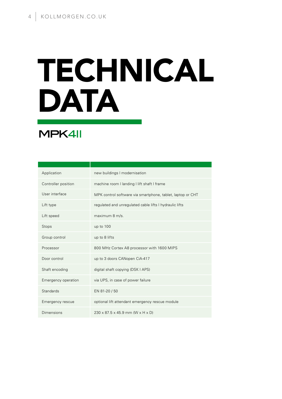## TECHNICAL DATA

### MPK4II

| Application         | new buildings I modernisation                              |
|---------------------|------------------------------------------------------------|
| Controller position | machine room I landing I lift shaft I frame                |
| User interface      | MPK control software via smartphone, tablet, laptop or CHT |
| Lift type           | regulated and unregulated cable lifts I hydraulic lifts    |
| Lift speed          | maximum 8 m/s.                                             |
| Stops               | up to 100                                                  |
| Group control       | up to 8 lifts                                              |
| Processor           | 800 MHz Cortex A8 processor with 1600 MIPS                 |
| Door control        | up to 3 doors CANopen CiA-417                              |
| Shaft encoding      | digital shaft copying (DSK I APS)                          |
| Emergency operation | via UPS, in case of power failure                          |
| Standards           | EN 81-20 / 50                                              |
| Emergency rescue    | optional lift attendant emergency rescue module            |
| Dimensions          | $230 \times 87.5 \times 45.9$ mm (W $\times$ H $\times$ D) |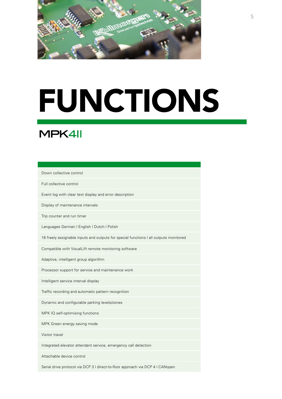

## FUNCTIONS

### MPK4II

| Down collective control                                                               |  |  |
|---------------------------------------------------------------------------------------|--|--|
| Full collective control                                                               |  |  |
| Event log with clear text display and error description                               |  |  |
| Display of maintenance intervals                                                      |  |  |
| Trip counter and run timer                                                            |  |  |
| Languages German I English I Dutch I Polish                                           |  |  |
| 16 freely assignable inputs and outputs for special functions I all outputs monitored |  |  |
| Compatible with VisualLift remote monitoring software                                 |  |  |
| Adaptive, intelligent group algorithm                                                 |  |  |
| Processor support for service and maintenance work                                    |  |  |
| Intelligent service interval display                                                  |  |  |
| Traffic recording and automatic pattern recognition                                   |  |  |
| Dynamic and configurable parking levels/zones                                         |  |  |
| MPK IQ self-optimising functions                                                      |  |  |
| MPK Green energy saving mode                                                          |  |  |
| Visitor travel                                                                        |  |  |
| Integrated elevator attendant service, emergency call detection                       |  |  |
| Attachable device control                                                             |  |  |
| Serial drive protocol via DCP 3 I direct-to-floor approach via DCP 4 I CANopen        |  |  |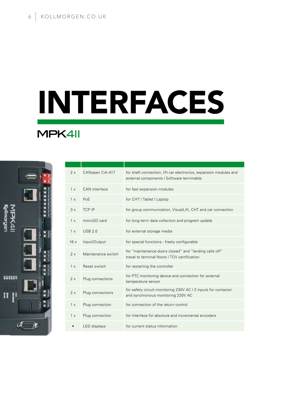# INTERFACES

### MPK4II



| 2x  | CANopen CiA-417    | for shaft connection, lift car electronics, expansion modules and<br>external components I Software terminable |
|-----|--------------------|----------------------------------------------------------------------------------------------------------------|
| 1 x | CAN interface      | for fast expansion modules                                                                                     |
| 1 x | PoE                | for CHT   Tablet   Laptop                                                                                      |
| 3x  | <b>TCP IP</b>      | for group communication, VisualLift, CHT and car connection                                                    |
| 1 x | microSD card       | for long-term data collection and program update                                                               |
| 1 x | USB 2.0            | for external storage media                                                                                     |
| 16x | Input/Output       | for special functions - freely configurable                                                                    |
| 2x  | Maintenance switch | for "maintenance doors closed" and "landing calls off"<br>travel to terminal floors I TÜV certification        |
| 1 x | Reset switch       | for restarting the controller                                                                                  |
| 2x  | Plug connections   | for PTC monitoring device and connection for external<br>temperature sensor                                    |
| 2x  | Plug connections   | for safety circuit monitoring 230V AC I 2 inputs for contactor<br>and synchronous monitoring 230V AC           |
| 1 x | Plug connection    | for connection of the return control                                                                           |
| 1 x | Plug connection    | for Interface for absolute and incremental encoders                                                            |
|     | LED displays       | for current status information                                                                                 |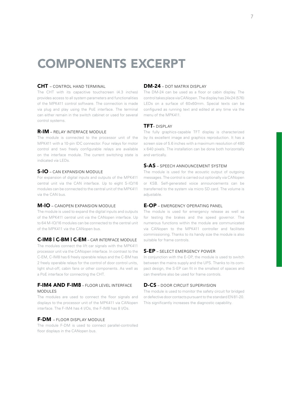## COMPONENTS EXCERPT

#### CHT – CONTROL HAND TERMINAL

The CHT with its capacitive touchscreen (4.3 inches) provides access to all system parameters and functionalities of the MPK411 control software. The connection is made via plug and play using the PoE interface. The terminal can either remain in the switch cabinet or used for several control systems.

#### R-IM – RELAY INTERFACE MODULE

The module is connected to the processor unit of the MPK411 with a 10-pin IDC connector. Four relays for motor control and two freely configurable relays are available on the interface module. The current switching state is indicated via LEDs.

#### S-IO – CAN EXPANSION MODULE

For expansion of digital inputs and outputs of the MPK411 central unit via the CAN interface. Up to eight S-IO/16 modules can be connected to the central unit of the MPK411 via the CAN bus.

#### M-IO – CANOPEN EXPANSION MODULE

The module is used to expand the digital inputs and outputs of the MPK411 central unit via the CANopen interface. Up to 64 M-IO/16 modules can be connected to the central unit of the MPK411 via the CANopen bus.

#### C-IM8 | C-BM | C-EM – CAR INTERFACE MODULE

The modules connect the lift car signals with the MPK411 processor unit via the CANopen interface. In contrast to the C-EM, C-IM8 has 6 freely operable relays and the C-BM has 2 freely operable relays for the control of door control units, light shut-off, cabin fans or other components. As well as a PoE interface for connecting the CHT.

#### **F-IM4 AND F-IM8** - FLOOR LEVEL INTERFACE MODULES

The modules are used to connect the floor signals and displays to the processor unit of the MPK411 via CANopen interface. The F-IM4 has 4 I/Os, the F-IM8 has 8 I/Os.

#### F-DM – FLOOR DISPLAY MODULE

The module F-DM is used to connect parallel-controlled floor displays in the CANopen bus.

#### DM-24 - DOT MATRIX DISPLAY

The DM-24 can be used as a floor or cabin display. The control takes place via CANopen. The display has 24x24 (576) LEDs on a surface of 60x60mm. Special texts can be configured as running text and edited at any time via the menu of the MPK411.

#### TFT– DISPLAY

The fully graphics-capable TFT display is characterized by its excellent image and graphics reproduction. It has a screen size of 5.6 inches with a maximum resolution of 480 x 640 pixels. The installation can be done both horizontally and vertically.

#### S-AS – SPEECH ANNOUNCEMENT SYSTEM

The module is used for the acoustic output of outgoing messages. The control is carried out optionally via CANopen or KSB. Self-generated voice announcements can be transferred to the system via micro SD card. The volume is adjustable.

#### E-OP – EMERGENCY OPERATING PANEL

The module is used for emergency release as well as for testing the brakes and the speed governor. The numerous functions within the module are communicated via CANopen to the MPK411 controller and facilitate commissioning. Thanks to its handy size the module is also suitable for frame controls.

#### S-EP – SELECT EMERGENCY POWER

In conjunction with the E-OP, the module is used to switch between the mains supply and the UPS. Thanks to its compact design, the S-EP can fit in the smallest of spaces and can therefore also be used for frame controls.

#### D-CS – DOOR CIRCUIT SUPERVISION

The module is used to monitor the safety circuit for bridged or defective door contacts pursuant to the standard EN 81-20. This significantly increases the diagnostic capability.